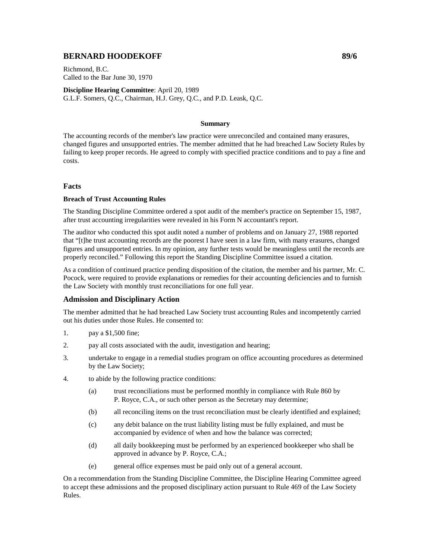# **BERNARD HOODEKOFF 89/6 89/6**

Richmond, B.C. Called to the Bar June 30, 1970

**Discipline Hearing Committee**: April 20, 1989 G.L.F. Somers, Q.C., Chairman, H.J. Grey, Q.C., and P.D. Leask, Q.C.

#### **Summary**

The accounting records of the member's law practice were unreconciled and contained many erasures, changed figures and unsupported entries. The member admitted that he had breached Law Society Rules by failing to keep proper records. He agreed to comply with specified practice conditions and to pay a fine and costs.

### **Facts**

#### **Breach of Trust Accounting Rules**

The Standing Discipline Committee ordered a spot audit of the member's practice on September 15, 1987, after trust accounting irregularities were revealed in his Form N accountant's report.

The auditor who conducted this spot audit noted a number of problems and on January 27, 1988 reported that "[t]he trust accounting records are the poorest I have seen in a law firm, with many erasures, changed figures and unsupported entries. In my opinion, any further tests would be meaningless until the records are properly reconciled." Following this report the Standing Discipline Committee issued a citation.

As a condition of continued practice pending disposition of the citation, the member and his partner, Mr. C. Pocock, were required to provide explanations or remedies for their accounting deficiencies and to furnish the Law Society with monthly trust reconciliations for one full year.

## **Admission and Disciplinary Action**

The member admitted that he had breached Law Society trust accounting Rules and incompetently carried out his duties under those Rules. He consented to:

- 1. pay a \$1,500 fine;
- 2. pay all costs associated with the audit, investigation and hearing;
- 3. undertake to engage in a remedial studies program on office accounting procedures as determined by the Law Society;
- 4. to abide by the following practice conditions:
	- (a) trust reconciliations must be performed monthly in compliance with Rule 860 by P. Royce, C.A., or such other person as the Secretary may determine;
	- (b) all reconciling items on the trust reconciliation must be clearly identified and explained;
	- (c) any debit balance on the trust liability listing must be fully explained, and must be accompanied by evidence of when and how the balance was corrected;
	- (d) all daily bookkeeping must be performed by an experienced bookkeeper who shall be approved in advance by P. Royce, C.A.;
	- (e) general office expenses must be paid only out of a general account.

On a recommendation from the Standing Discipline Committee, the Discipline Hearing Committee agreed to accept these admissions and the proposed disciplinary action pursuant to Rule 469 of the Law Society Rules.